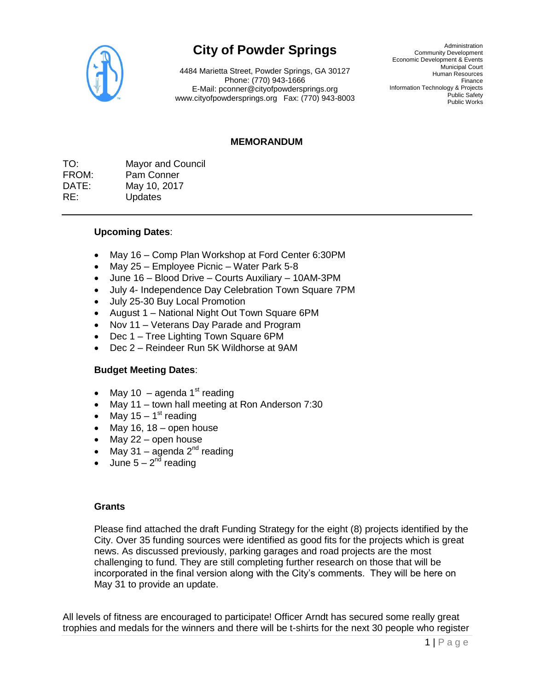

# **City of Powder Springs**

4484 Marietta Street, Powder Springs, GA 30127 Phone: (770) 943-1666 E-Mail: pconner@cityofpowdersprings.org www.cityofpowdersprings.org Fax: (770) 943-8003

Administration Community Development Economic Development & Events Municipal Court Human Resources Finance Information Technology & Projects Public Safety Public Works

## **MEMORANDUM**

TO: Mayor and Council FROM: Pam Conner DATE: May 10, 2017 RE: Updates

## **Upcoming Dates**:

- May 16 Comp Plan Workshop at Ford Center 6:30PM
- May 25 Employee Picnic Water Park 5-8
- June 16 Blood Drive Courts Auxiliary 10AM-3PM
- July 4- Independence Day Celebration Town Square 7PM
- July 25-30 Buy Local Promotion
- August 1 National Night Out Town Square 6PM
- Nov 11 Veterans Day Parade and Program
- Dec 1 Tree Lighting Town Square 6PM
- Dec 2 Reindeer Run 5K Wildhorse at 9AM

#### **Budget Meeting Dates**:

- May 10 agenda 1<sup>st</sup> reading
- May 11 town hall meeting at Ron Anderson 7:30
- May 15 1<sup>st</sup> reading
- $\bullet$  May 16, 18 open house
- May 22 open house
- May 31 agenda  $2^{nd}$  reading
- June  $5 2<sup>nd</sup>$  reading

#### **Grants**

Please find attached the draft Funding Strategy for the eight (8) projects identified by the City. Over 35 funding sources were identified as good fits for the projects which is great news. As discussed previously, parking garages and road projects are the most challenging to fund. They are still completing further research on those that will be incorporated in the final version along with the City's comments. They will be here on May 31 to provide an update.

All levels of fitness are encouraged to participate! Officer Arndt has secured some really great trophies and medals for the winners and there will be t-shirts for the next 30 people who register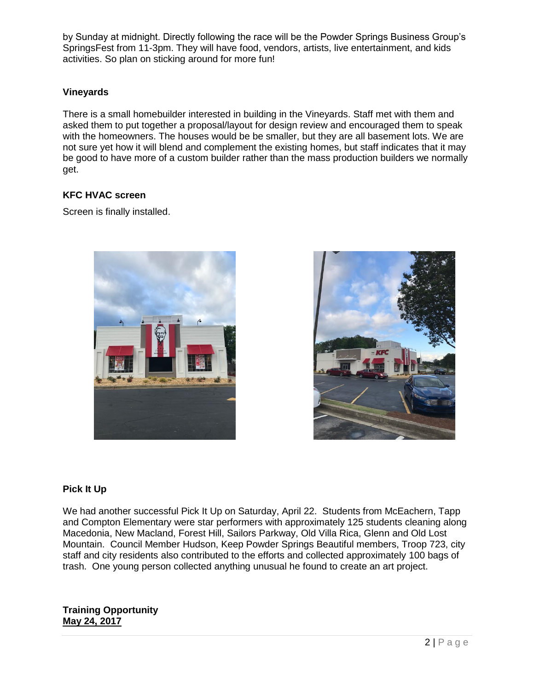by Sunday at midnight. Directly following the race will be the Powder Springs Business Group's SpringsFest from 11-3pm. They will have food, vendors, artists, live entertainment, and kids activities. So plan on sticking around for more fun!

# **Vineyards**

There is a small homebuilder interested in building in the Vineyards. Staff met with them and asked them to put together a proposal/layout for design review and encouraged them to speak with the homeowners. The houses would be be smaller, but they are all basement lots. We are not sure yet how it will blend and complement the existing homes, but staff indicates that it may be good to have more of a custom builder rather than the mass production builders we normally get.

## **KFC HVAC screen**

Screen is finally installed.





## **Pick It Up**

We had another successful Pick It Up on Saturday, April 22. Students from McEachern, Tapp and Compton Elementary were star performers with approximately 125 students cleaning along Macedonia, New Macland, Forest Hill, Sailors Parkway, Old Villa Rica, Glenn and Old Lost Mountain. Council Member Hudson, Keep Powder Springs Beautiful members, Troop 723, city staff and city residents also contributed to the efforts and collected approximately 100 bags of trash. One young person collected anything unusual he found to create an art project.

## **Training Opportunity May 24, 2017**